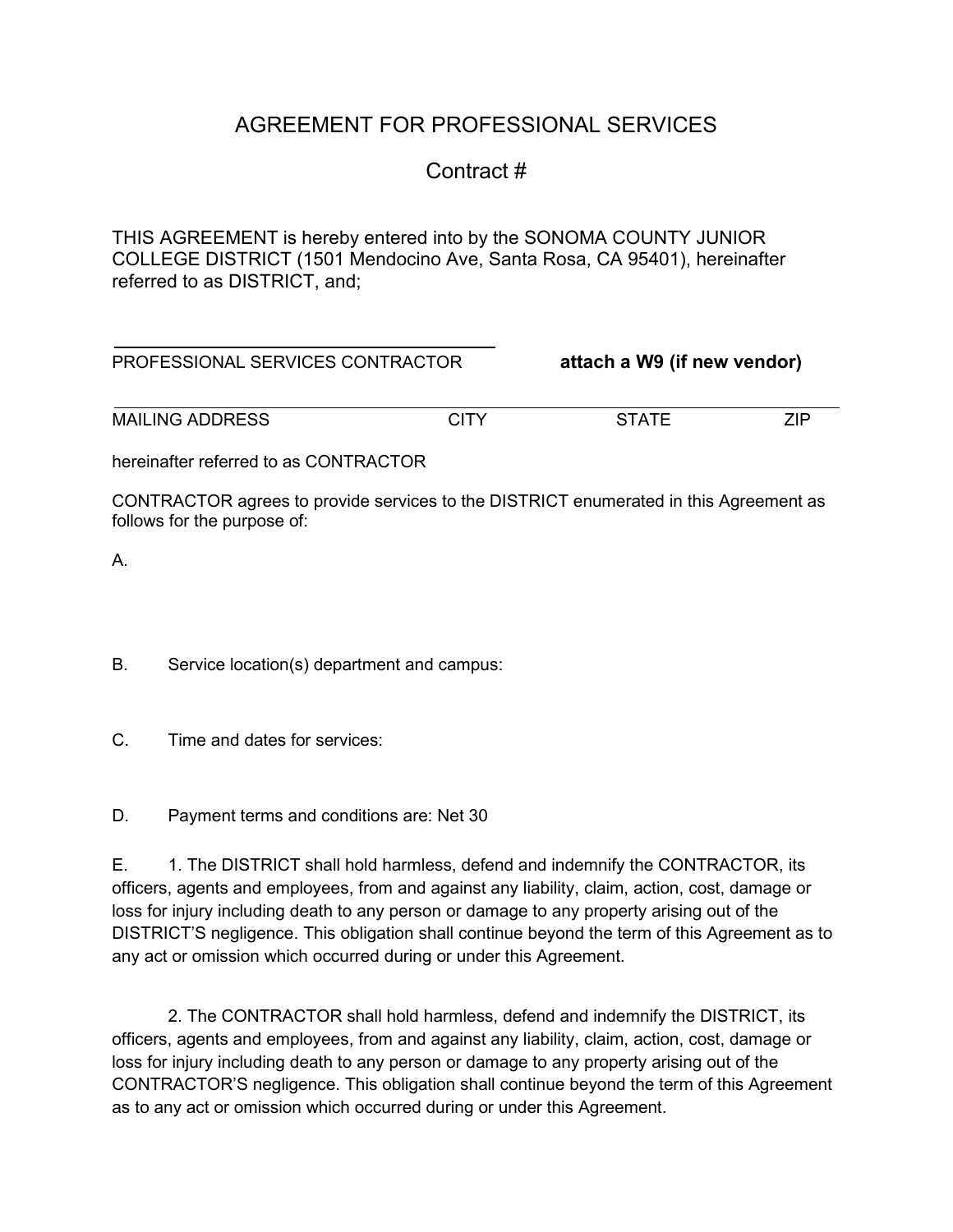## AGREEMENT FOR PROFESSIONAL SERVICES

## Contract #

THIS AGREEMENT is hereby entered into by the SONOMA COUNTY JUNIOR COLLEGE DISTRICT (1501 Mendocino Ave, Santa Rosa, CA 95401), hereinafter referred to as DISTRICT, and;

| PROFESSIONAL SERVICES CONTRACTOR      |      | attach a W9 (if new vendor) |     |
|---------------------------------------|------|-----------------------------|-----|
| <b>MAILING ADDRESS</b>                | CITY | <b>STATE</b>                | 7IP |
| hereinafter referred to as CONTRACTOR |      |                             |     |
|                                       |      |                             |     |

CONTRACTOR agrees to provide services to the DISTRICT enumerated in this Agreement as follows for the purpose of:

A.

- B. Service location(s) department and campus:
- C. Time and dates for services:
- D. Payment terms and conditions are: Net 30

E. 1. The DISTRICT shall hold harmless, defend and indemnify the CONTRACTOR, its officers, agents and employees, from and against any liability, claim, action, cost, damage or loss for injury including death to any person or damage to any property arising out of the DISTRICT'S negligence. This obligation shall continue beyond the term of this Agreement as to any act or omission which occurred during or under this Agreement.

2. The CONTRACTOR shall hold harmless, defend and indemnify the DISTRICT, its officers, agents and employees, from and against any liability, claim, action, cost, damage or loss for injury including death to any person or damage to any property arising out of the CONTRACTOR'S negligence. This obligation shall continue beyond the term of this Agreement as to any act or omission which occurred during or under this Agreement.